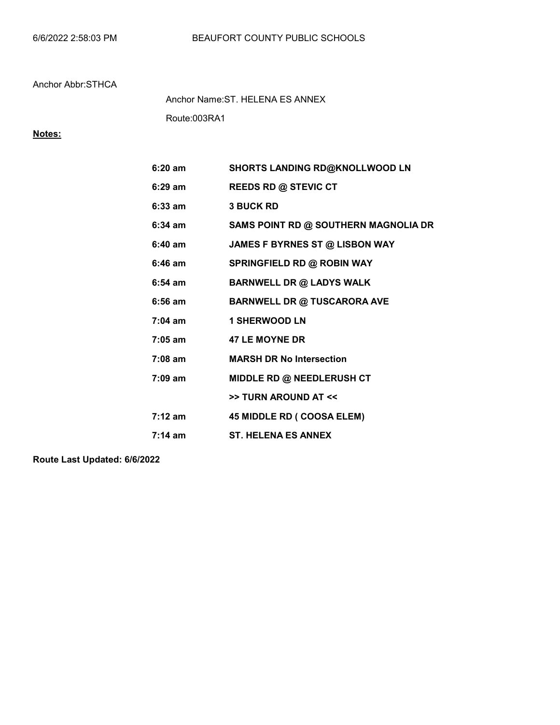### Anchor Abbr:STHCA

Route:003RA1 Anchor Name:ST. HELENA ES ANNEX

### Notes:

| $6:20$ am         | <b>SHORTS LANDING RD@KNOLLWOOD LN</b> |
|-------------------|---------------------------------------|
| $6:29$ am         | <b>REEDS RD @ STEVIC CT</b>           |
| $6:33$ am         | <b>3 BUCK RD</b>                      |
| $6:34$ am         | SAMS POINT RD @ SOUTHERN MAGNOLIA DR  |
| $6:40$ am         | JAMES F BYRNES ST @ LISBON WAY        |
| $6:46$ am         | <b>SPRINGFIELD RD @ ROBIN WAY</b>     |
| $6:54 \; am$      | <b>BARNWELL DR @ LADYS WALK</b>       |
| $6:56$ am         | <b>BARNWELL DR @ TUSCARORA AVE</b>    |
| $7:04$ am         | <b>1 SHERWOOD LN</b>                  |
| $7:05$ am         | <b>47 LE MOYNE DR</b>                 |
| $7:08$ am         | <b>MARSH DR No Intersection</b>       |
| $7:09$ am         | MIDDLE RD @ NEEDLERUSH CT             |
|                   | >> TURN AROUND AT <<                  |
| $7:12 \text{ am}$ | 45 MIDDLE RD ( COOSA ELEM)            |
| $7:14 \text{ am}$ | <b>ST. HELENA ES ANNEX</b>            |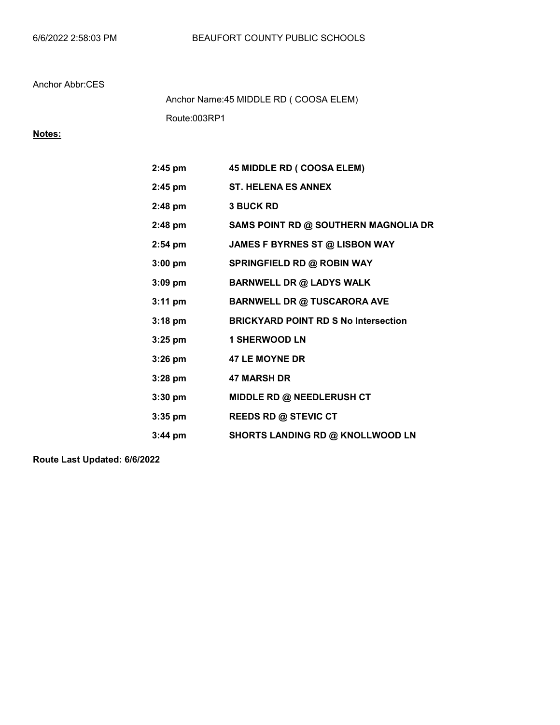Route:003RP1 Anchor Name:45 MIDDLE RD ( COOSA ELEM)

# Notes:

| $2:45$ pm         | 45 MIDDLE RD ( COOSA ELEM)                  |
|-------------------|---------------------------------------------|
| $2:45$ pm         | <b>ST. HELENA ES ANNEX</b>                  |
| $2:48$ pm         | <b>3 BUCK RD</b>                            |
| $2:48$ pm         | SAMS POINT RD @ SOUTHERN MAGNOLIA DR        |
| $2:54$ pm         | JAMES F BYRNES ST @ LISBON WAY              |
| 3:00 pm           | <b>SPRINGFIELD RD @ ROBIN WAY</b>           |
| $3:09$ pm         | <b>BARNWELL DR @ LADYS WALK</b>             |
| $3:11$ pm         | <b>BARNWELL DR @ TUSCARORA AVE</b>          |
| $3:18 \text{ pm}$ | <b>BRICKYARD POINT RD S No Intersection</b> |
| $3:25$ pm         | <b>1 SHERWOOD LN</b>                        |
| $3:26$ pm         | <b>47 LE MOYNE DR</b>                       |
| $3:28$ pm         | <b>47 MARSH DR</b>                          |
| $3:30$ pm         | MIDDLE RD @ NEEDLERUSH CT                   |
| $3:35$ pm         | <b>REEDS RD @ STEVIC CT</b>                 |
| $3:44$ pm         | <b>SHORTS LANDING RD @ KNOLLWOOD LN</b>     |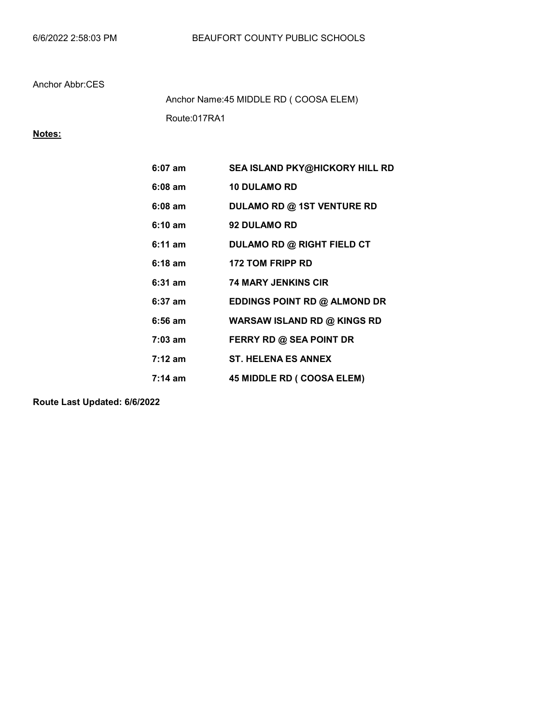Route:017RA1 Anchor Name:45 MIDDLE RD ( COOSA ELEM)

# Notes:

| $6:07$ am         | <b>SEA ISLAND PKY@HICKORY HILL RD</b> |
|-------------------|---------------------------------------|
| $6:08$ am         | <b>10 DULAMO RD</b>                   |
| $6:08$ am         | <b>DULAMO RD @ 1ST VENTURE RD</b>     |
| 6:10 am           | <b>92 DULAMO RD</b>                   |
| $6:11 \text{ am}$ | <b>DULAMO RD @ RIGHT FIELD CT</b>     |
| $6:18$ am         | <b>172 TOM FRIPP RD</b>               |
| $6:31$ am         | <b>74 MARY JENKINS CIR</b>            |
| $6:37$ am         | EDDINGS POINT RD @ ALMOND DR          |
| $6:56$ am         | <b>WARSAW ISLAND RD @ KINGS RD</b>    |
| $7:03 \text{ am}$ | FERRY RD @ SEA POINT DR               |
| $7:12 \text{ am}$ | <b>ST. HELENA ES ANNEX</b>            |
| $7:14 \text{ am}$ | 45 MIDDLE RD ( COOSA ELEM)            |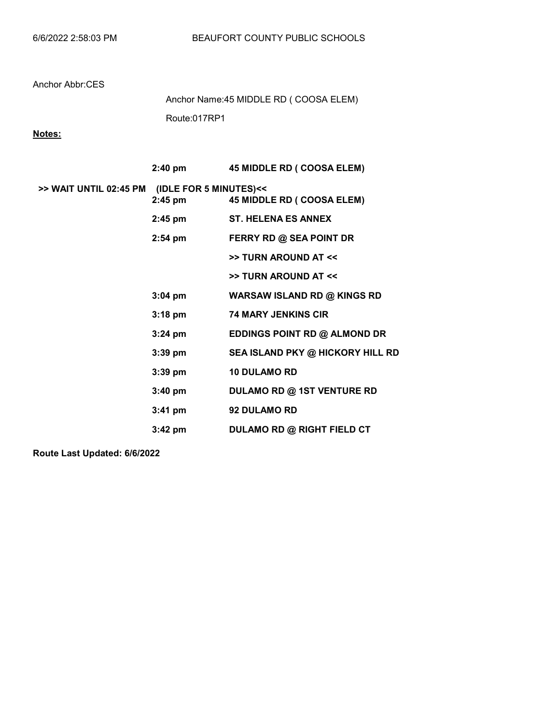Route:017RP1 Anchor Name:45 MIDDLE RD ( COOSA ELEM)

# Notes:

|                        | $2:40 \text{ pm}$                   | 45 MIDDLE RD ( COOSA ELEM)         |
|------------------------|-------------------------------------|------------------------------------|
| >> WAIT UNTIL 02:45 PM | (IDLE FOR 5 MINUTES)<<<br>$2:45$ pm | 45 MIDDLE RD ( COOSA ELEM)         |
|                        | $2:45$ pm                           | <b>ST. HELENA ES ANNEX</b>         |
|                        | $2:54$ pm                           | FERRY RD @ SEA POINT DR            |
|                        |                                     | >> TURN AROUND AT <<               |
|                        |                                     | >> TURN AROUND AT <<               |
|                        | 3:04 pm                             | <b>WARSAW ISLAND RD @ KINGS RD</b> |
|                        | $3:18$ pm                           | <b>74 MARY JENKINS CIR</b>         |
|                        | 3:24 pm                             | EDDINGS POINT RD @ ALMOND DR       |
|                        | $3:39$ pm                           | SEA ISLAND PKY @ HICKORY HILL RD   |
|                        | $3:39$ pm                           | <b>10 DULAMO RD</b>                |
|                        | $3:40 \text{ pm}$                   | <b>DULAMO RD @ 1ST VENTURE RD</b>  |
|                        | $3:41$ pm                           | <b>92 DULAMO RD</b>                |
|                        | 3:42 pm                             | <b>DULAMO RD @ RIGHT FIELD CT</b>  |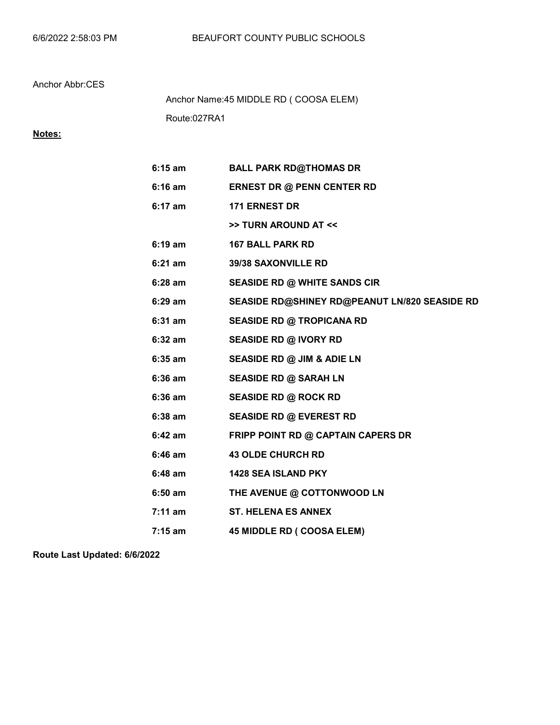Route:027RA1 Anchor Name:45 MIDDLE RD ( COOSA ELEM)

# Notes:

| 6:15 am   | <b>BALL PARK RD@THOMAS DR</b>                 |
|-----------|-----------------------------------------------|
| 6:16 am   | <b>ERNEST DR @ PENN CENTER RD</b>             |
| $6:17$ am | <b>171 ERNEST DR</b>                          |
|           | >> TURN AROUND AT <<                          |
| 6:19 am   | <b>167 BALL PARK RD</b>                       |
| $6:21$ am | 39/38 SAXONVILLE RD                           |
| 6:28 am   | <b>SEASIDE RD @ WHITE SANDS CIR</b>           |
| $6:29$ am | SEASIDE RD@SHINEY RD@PEANUT LN/820 SEASIDE RD |
| $6:31$ am | <b>SEASIDE RD @ TROPICANA RD</b>              |
| 6:32 am   | <b>SEASIDE RD @ IVORY RD</b>                  |
| 6:35 am   | SEASIDE RD @ JIM & ADIE LN                    |
| 6:36 am   | <b>SEASIDE RD @ SARAH LN</b>                  |
| 6:36 am   | <b>SEASIDE RD @ ROCK RD</b>                   |
| 6:38 am   | <b>SEASIDE RD @ EVEREST RD</b>                |
| 6:42 am   | FRIPP POINT RD @ CAPTAIN CAPERS DR            |
| $6:46$ am | <b>43 OLDE CHURCH RD</b>                      |
| $6:48$ am | <b>1428 SEA ISLAND PKY</b>                    |
| 6:50 am   | THE AVENUE @ COTTONWOOD LN                    |
| $7:11$ am | <b>ST. HELENA ES ANNEX</b>                    |
| $7:15$ am | 45 MIDDLE RD ( COOSA ELEM)                    |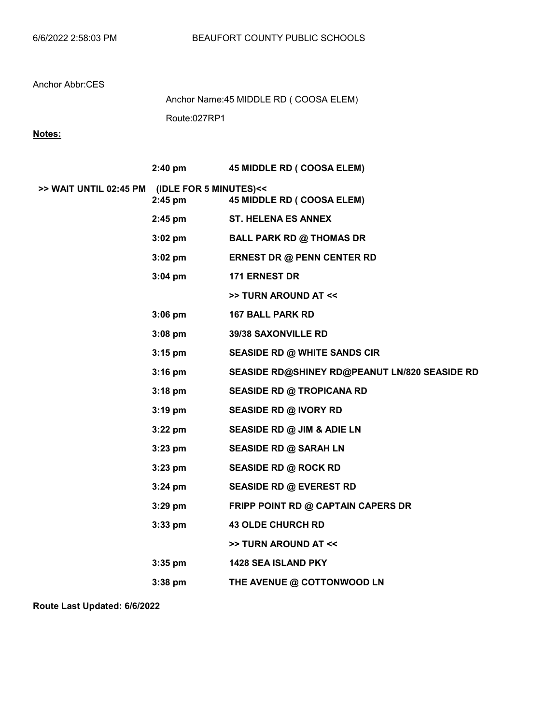Route:027RP1 Anchor Name:45 MIDDLE RD ( COOSA ELEM)

# Notes:

|                                               | $2:40 \text{ pm}$ | <b>45 MIDDLE RD ( COOSA ELEM)</b>             |
|-----------------------------------------------|-------------------|-----------------------------------------------|
| >> WAIT UNTIL 02:45 PM (IDLE FOR 5 MINUTES)<< | $2:45$ pm         | 45 MIDDLE RD ( COOSA ELEM)                    |
|                                               | $2:45$ pm         | <b>ST. HELENA ES ANNEX</b>                    |
|                                               | $3:02 \text{ pm}$ | <b>BALL PARK RD @ THOMAS DR</b>               |
|                                               | $3:02$ pm         | <b>ERNEST DR @ PENN CENTER RD</b>             |
|                                               | $3:04$ pm         | <b>171 ERNEST DR</b>                          |
|                                               |                   | >> TURN AROUND AT <<                          |
|                                               | $3:06$ pm         | <b>167 BALL PARK RD</b>                       |
|                                               | $3:08$ pm         | <b>39/38 SAXONVILLE RD</b>                    |
|                                               | $3:15 \text{ pm}$ | <b>SEASIDE RD @ WHITE SANDS CIR</b>           |
|                                               | $3:16$ pm         | SEASIDE RD@SHINEY RD@PEANUT LN/820 SEASIDE RD |
|                                               | $3:18$ pm         | <b>SEASIDE RD @ TROPICANA RD</b>              |
|                                               | $3:19$ pm         | <b>SEASIDE RD @ IVORY RD</b>                  |
|                                               | $3:22$ pm         | SEASIDE RD @ JIM & ADIE LN                    |
|                                               | $3:23$ pm         | <b>SEASIDE RD @ SARAH LN</b>                  |
|                                               | $3:23$ pm         | <b>SEASIDE RD @ ROCK RD</b>                   |
|                                               | $3:24$ pm         | <b>SEASIDE RD @ EVEREST RD</b>                |
|                                               | $3:29$ pm         | FRIPP POINT RD @ CAPTAIN CAPERS DR            |
|                                               | $3:33$ pm         | <b>43 OLDE CHURCH RD</b>                      |
|                                               |                   | >> TURN AROUND AT <<                          |
|                                               | $3:35$ pm         | 1428 SEA ISLAND PKY                           |
|                                               | $3:38$ pm         | THE AVENUE @ COTTONWOOD LN                    |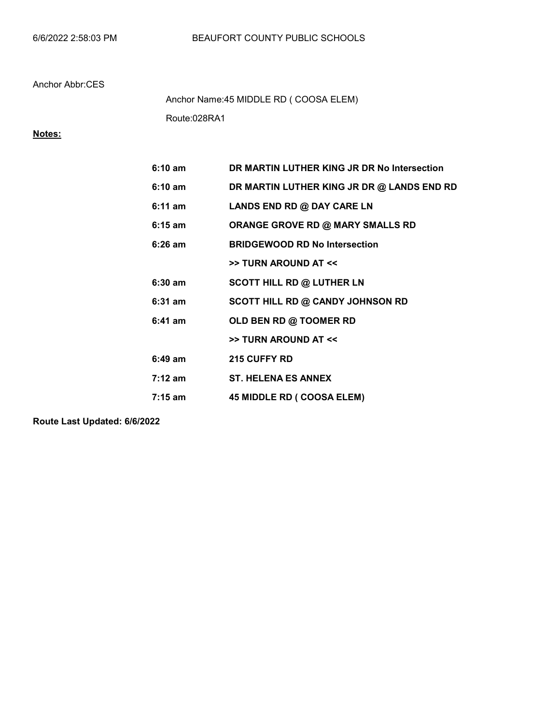Route:028RA1 Anchor Name:45 MIDDLE RD ( COOSA ELEM)

# Notes:

| $6:10 \text{ am}$ | DR MARTIN LUTHER KING JR DR No Intersection |
|-------------------|---------------------------------------------|
| $6:10 \text{ am}$ | DR MARTIN LUTHER KING JR DR @ LANDS END RD  |
| $6:11 \text{ am}$ | LANDS END RD @ DAY CARE LN                  |
| $6:15$ am         | ORANGE GROVE RD @ MARY SMALLS RD            |
| $6:26$ am         | <b>BRIDGEWOOD RD No Intersection</b>        |
|                   | >> TURN AROUND AT <<                        |
| $6:30$ am         | <b>SCOTT HILL RD @ LUTHER LN</b>            |
| $6:31$ am         | <b>SCOTT HILL RD @ CANDY JOHNSON RD</b>     |
| $6:41$ am         | OLD BEN RD @ TOOMER RD                      |
|                   | >> TURN AROUND AT <<                        |
| $6:49$ am         | <b>215 CUFFY RD</b>                         |
| $7:12 \text{ am}$ | <b>ST. HELENA ES ANNEX</b>                  |
| $7:15$ am         | <b>45 MIDDLE RD ( COOSA ELEM)</b>           |